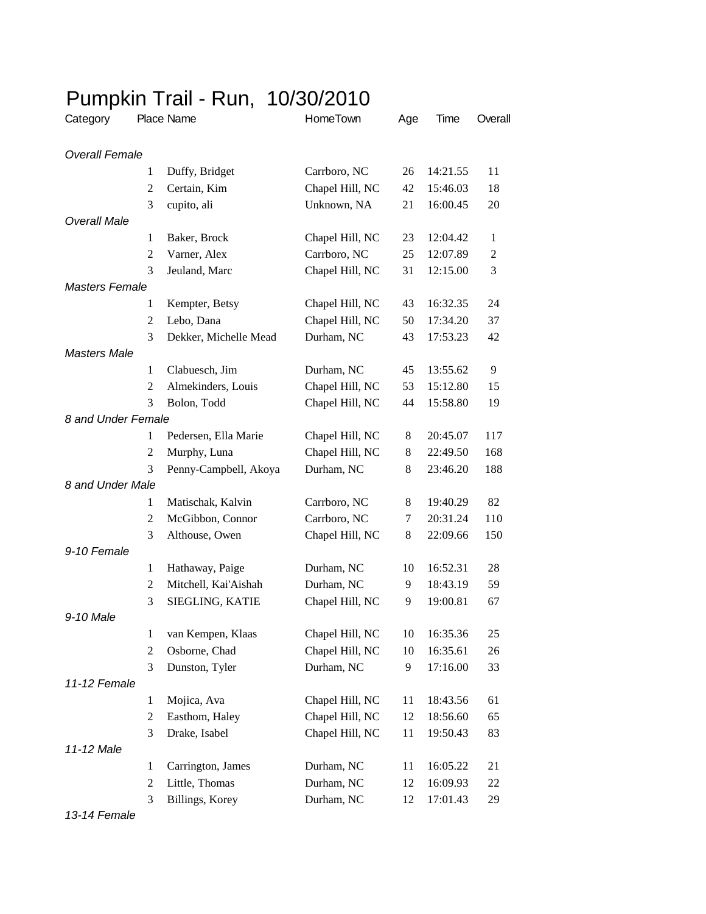| Category              |                | Place Name            | HomeTown        | Age | Time     | Overall        |
|-----------------------|----------------|-----------------------|-----------------|-----|----------|----------------|
| <b>Overall Female</b> |                |                       |                 |     |          |                |
|                       | 1              | Duffy, Bridget        | Carrboro, NC    | 26  | 14:21.55 | 11             |
|                       | 2              | Certain, Kim          | Chapel Hill, NC | 42  | 15:46.03 | 18             |
|                       | 3              | cupito, ali           | Unknown, NA     | 21  | 16:00.45 | 20             |
| <b>Overall Male</b>   |                |                       |                 |     |          |                |
|                       | 1              | Baker, Brock          | Chapel Hill, NC | 23  | 12:04.42 | 1              |
|                       | $\mathfrak{2}$ | Varner, Alex          | Carrboro, NC    | 25  | 12:07.89 | $\overline{c}$ |
|                       | 3              | Jeuland, Marc         | Chapel Hill, NC | 31  | 12:15.00 | 3              |
| <b>Masters Female</b> |                |                       |                 |     |          |                |
|                       | 1              | Kempter, Betsy        | Chapel Hill, NC | 43  | 16:32.35 | 24             |
|                       | 2              | Lebo, Dana            | Chapel Hill, NC | 50  | 17:34.20 | 37             |
|                       | 3              | Dekker, Michelle Mead | Durham, NC      | 43  | 17:53.23 | 42             |
| <b>Masters Male</b>   |                |                       |                 |     |          |                |
|                       | 1              | Clabuesch, Jim        | Durham, NC      | 45  | 13:55.62 | 9              |
|                       | 2              | Almekinders, Louis    | Chapel Hill, NC | 53  | 15:12.80 | 15             |
|                       | 3              | Bolon, Todd           | Chapel Hill, NC | 44  | 15:58.80 | 19             |
| 8 and Under Female    |                |                       |                 |     |          |                |
|                       | 1              | Pedersen, Ella Marie  | Chapel Hill, NC | 8   | 20:45.07 | 117            |
|                       | $\overline{c}$ | Murphy, Luna          | Chapel Hill, NC | 8   | 22:49.50 | 168            |
|                       | 3              | Penny-Campbell, Akoya | Durham, NC      | 8   | 23:46.20 | 188            |
| 8 and Under Male      |                |                       |                 |     |          |                |
|                       | 1              | Matischak, Kalvin     | Carrboro, NC    | 8   | 19:40.29 | 82             |
|                       | 2              | McGibbon, Connor      | Carrboro, NC    | 7   | 20:31.24 | 110            |
|                       | 3              | Althouse, Owen        | Chapel Hill, NC | 8   | 22:09.66 | 150            |
| 9-10 Female           |                |                       |                 |     |          |                |
|                       | $\mathbf{1}$   | Hathaway, Paige       | Durham, NC      | 10  | 16:52.31 | 28             |
|                       | 2              | Mitchell, Kai'Aishah  | Durham, NC      | 9   | 18:43.19 | 59             |
|                       | 3              | SIEGLING, KATIE       | Chapel Hill, NC | 9   | 19:00.81 | 67             |
| 9-10 Male             |                |                       |                 |     |          |                |
|                       | 1              | van Kempen, Klaas     | Chapel Hill, NC | 10  | 16:35.36 | 25             |
|                       | $\overline{2}$ | Osborne, Chad         | Chapel Hill, NC | 10  | 16:35.61 | 26             |
|                       | 3              | Dunston, Tyler        | Durham, NC      | 9   | 17:16.00 | 33             |
| 11-12 Female          |                |                       |                 |     |          |                |
|                       | $\mathbf{1}$   | Mojica, Ava           | Chapel Hill, NC | 11  | 18:43.56 | 61             |
|                       | 2              | Easthom, Haley        | Chapel Hill, NC | 12  | 18:56.60 | 65             |
|                       | 3              | Drake, Isabel         | Chapel Hill, NC | 11  | 19:50.43 | 83             |
| 11-12 Male            |                |                       |                 |     |          |                |
|                       | $\mathbf{1}$   | Carrington, James     | Durham, NC      | 11  | 16:05.22 | 21             |
|                       | 2              | Little, Thomas        | Durham, NC      | 12  | 16:09.93 | 22             |
|                       | 3              | Billings, Korey       | Durham, NC      | 12  | 17:01.43 | 29             |

## Pumpkin Trail - Run, 10/30/2010

*13-14 Female*